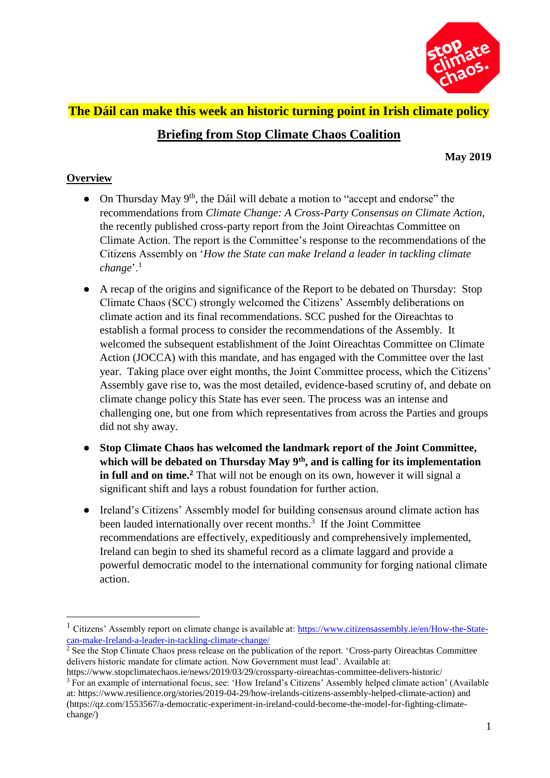

# **The Dáil can make this week an historic turning point in Irish climate policy**

# **Briefing from Stop Climate Chaos Coalition**

**May 2019**

#### **Overview**

- On Thursday May  $9<sup>th</sup>$ , the Dáil will debate a motion to "accept and endorse" the recommendations from *Climate Change: A Cross-Party Consensus on Climate Action*, the recently published cross-party report from the Joint Oireachtas Committee on Climate Action. The report is the Committee's response to the recommendations of the Citizens Assembly on '*How the State can make Ireland a leader in tackling climate change*'.<sup>1</sup>
- A recap of the origins and significance of the Report to be debated on Thursday: Stop Climate Chaos (SCC) strongly welcomed the Citizens' Assembly deliberations on climate action and its final recommendations. SCC pushed for the Oireachtas to establish a formal process to consider the recommendations of the Assembly. It welcomed the subsequent establishment of the Joint Oireachtas Committee on Climate Action (JOCCA) with this mandate, and has engaged with the Committee over the last year. Taking place over eight months, the Joint Committee process, which the Citizens' Assembly gave rise to, was the most detailed, evidence-based scrutiny of, and debate on climate change policy this State has ever seen. The process was an intense and challenging one, but one from which representatives from across the Parties and groups did not shy away.
- **Stop Climate Chaos has [welcomed](https://www.stopclimatechaos.ie/news/2019/03/29/crossparty-oireachtas-committee-delivers-historic/) the landmark report of the Joint Committee, which will be debated on Thursday May 9th, and is calling for its implementation in full and on time.<sup>2</sup>** That will not be enough on its own, however it will signal a significant shift and lays a robust foundation for further action.
- Ireland's Citizens' Assembly model for building consensus around climate action has been lauded internationally over recent months.<sup>3</sup> If the Joint Committee recommendations are effectively, expeditiously and comprehensively implemented, Ireland can begin to shed its shameful record as a climate laggard and provide a powerful democratic model to the international community for forging national climate action.

<sup>&</sup>lt;sup>1</sup> Citizens' Assembly report on climate change is available at: [https://www.citizensassembly.ie/en/How-the-State](https://www.citizensassembly.ie/en/How-the-State-can-make-Ireland-a-leader-in-tackling-climate-change/)[can-make-Ireland-a-leader-in-tackling-climate-change/](https://www.citizensassembly.ie/en/How-the-State-can-make-Ireland-a-leader-in-tackling-climate-change/)

<sup>&</sup>lt;sup>2</sup> See the Stop Climate Chaos press release on the publication of the report. 'Cross-party Oireachtas Committee delivers historic mandate for climate action. Now Government must lead'. Available at:

<https://www.stopclimatechaos.ie/news/2019/03/29/crossparty-oireachtas-committee-delivers-historic/> <sup>3</sup> For an example of international focus, see: 'How Ireland's Citizens' Assembly helped climate action' (Available at: [https://www.resilience.org/stories/2019-04-29/how-irelands-citizens-assembly-helped-climate-action\)](https://www.resilience.org/stories/2019-04-29/how-irelands-citizens-assembly-helped-climate-action) and [\(https://qz.com/1553567/a-democratic-experiment-in-ireland-could-become-the-model-for-fighting-climate](https://qz.com/1553567/a-democratic-experiment-in-ireland-could-become-the-model-for-fighting-climate-change/)[change/\)](https://qz.com/1553567/a-democratic-experiment-in-ireland-could-become-the-model-for-fighting-climate-change/)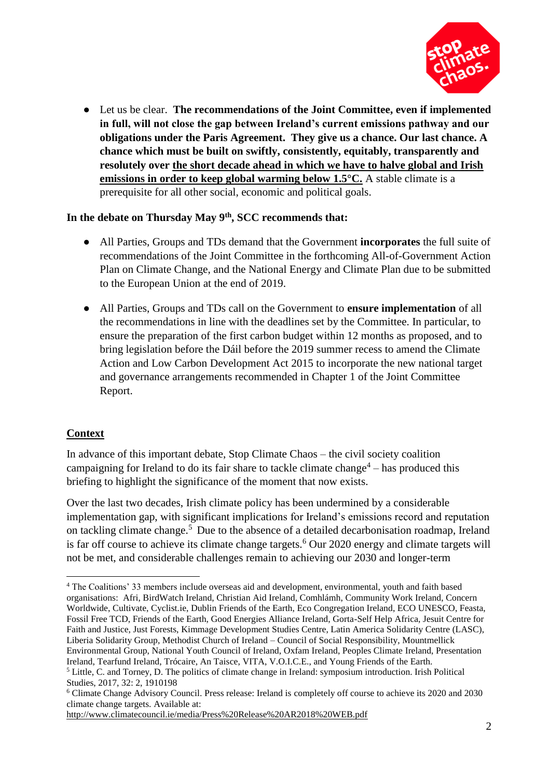

● Let us be clear. **The recommendations of the Joint Committee, even if implemented in full, will not close the gap between Ireland's current emissions pathway and our obligations under the Paris Agreement. They give us a chance. Our last chance. A chance which must be built on swiftly, consistently, equitably, transparently and resolutely over the short decade ahead in which we have to halve global and Irish emissions in order to keep global warming below 1.5°C.** A stable climate is a prerequisite for all other social, economic and political goals.

#### **In the debate on Thursday May 9th, SCC recommends that:**

- All Parties, Groups and TDs demand that the Government **incorporates** the full suite of recommendations of the Joint Committee in the forthcoming All-of-Government Action Plan on Climate Change, and the National Energy and Climate Plan due to be submitted to the European Union at the end of 2019.
- All Parties, Groups and TDs call on the Government to **ensure implementation** of all the recommendations in line with the deadlines set by the Committee. In particular, to ensure the preparation of the first carbon budget within 12 months as proposed, and to bring legislation before the Dáil before the 2019 summer recess to amend the Climate Action and Low Carbon Development Act 2015 to incorporate the new national target and governance arrangements recommended in Chapter 1 of the Joint Committee Report.

# **Context**

 $\overline{a}$ 

In advance of this important debate, Stop Climate Chaos – the civil society coalition campaigning for Ireland to do its fair share to tackle climate change $4$  – has produced this briefing to highlight the significance of the moment that now exists.

Over the last two decades, Irish climate policy has been undermined by a considerable implementation gap, with significant implications for Ireland's emissions record and reputation on tackling climate change.<sup>5</sup> Due to the absence of a detailed decarbonisation roadmap, Ireland is far off course to achieve its climate change targets.<sup>6</sup> Our 2020 energy and climate targets will not be met, and considerable challenges remain to achieving our 2030 and longer-term

<sup>4</sup> The Coalitions' 33 members include overseas aid and development, environmental, youth and faith based organisations: Afri, BirdWatch Ireland, Christian Aid Ireland, Comhlámh, Community Work Ireland, Concern Worldwide, Cultivate, Cyclist.ie, Dublin Friends of the Earth, Eco Congregation Ireland, ECO UNESCO, Feasta, Fossil Free TCD, Friends of the Earth, Good Energies Alliance Ireland, Gorta-Self Help Africa, Jesuit Centre for Faith and Justice, Just Forests, Kimmage Development Studies Centre, Latin America Solidarity Centre (LASC), Liberia Solidarity Group, Methodist Church of Ireland – Council of Social Responsibility, Mountmellick Environmental Group, National Youth Council of Ireland, Oxfam Ireland, Peoples Climate Ireland, Presentation Ireland, Tearfund Ireland, Trócaire, An Taisce, VITA, V.O.I.C.E., and Young Friends of the Earth. <sup>5</sup> Little, C. and Torney, D. The politics of climate change in Ireland: symposium introduction. Irish Political

Studies, 2017, 32: 2, 1910198

<sup>6</sup> Climate Change Advisory Council. Press release: Ireland is completely off course to achieve its 2020 and 2030 climate change targets. Available at:

<http://www.climatecouncil.ie/media/Press%20Release%20AR2018%20WEB.pdf>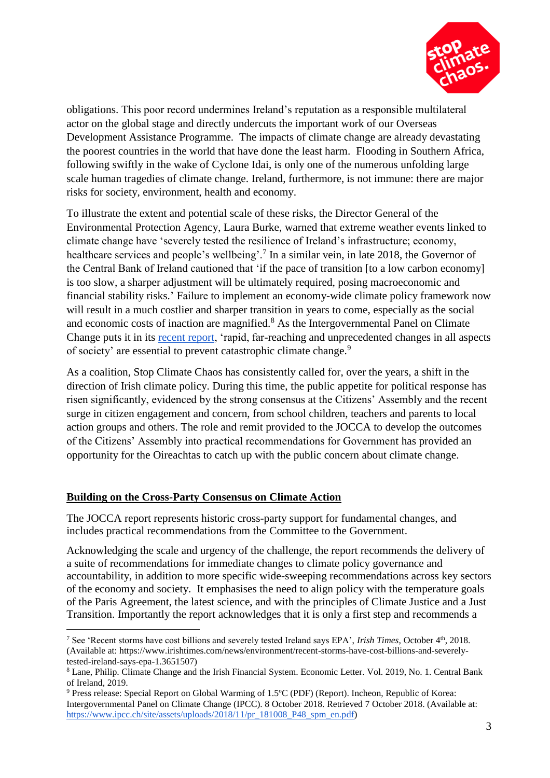

obligations. This poor record undermines Ireland's reputation as a responsible multilateral actor on the global stage and directly undercuts the important work of our Overseas Development Assistance Programme. The impacts of climate change are already devastating the poorest countries in the world that have done the least harm. Flooding in Southern Africa, following swiftly in the wake of Cyclone Idai, is only one of the numerous unfolding large scale human tragedies of climate change. Ireland, furthermore, is not immune: there are major risks for society, environment, health and economy.

To illustrate the extent and potential scale of these risks, the Director General of the Environmental Protection Agency, Laura Burke, warned that extreme weather events linked to climate change have 'severely tested the resilience of Ireland's infrastructure; economy, healthcare services and people's wellbeing'.<sup>7</sup> In a similar vein, in late 2018, the Governor of the Central Bank of Ireland cautioned that 'if the pace of transition [to a low carbon economy] is too slow, a sharper adjustment will be ultimately required, posing macroeconomic and financial stability risks.' Failure to implement an economy-wide climate policy framework now will result in a much costlier and sharper transition in years to come, especially as the social and economic costs of inaction are magnified.<sup>8</sup> As the Intergovernmental Panel on Climate Change puts it in its [recent report,](https://www.ipcc.ch/site/assets/uploads/2018/11/pr_181008_P48_spm_en.pdf) 'rapid, far-reaching and unprecedented changes in all aspects of society' are essential to prevent catastrophic climate change.<sup>9</sup>

As a coalition, Stop Climate Chaos has consistently called for, over the years, a shift in the direction of Irish climate policy. During this time, the public appetite for political response has risen significantly, evidenced by the strong consensus at the Citizens' Assembly and the recent surge in citizen engagement and concern, from school children, teachers and parents to local action groups and others. The role and remit provided to the JOCCA to develop the outcomes of the Citizens' Assembly into practical recommendations for Government has provided an opportunity for the Oireachtas to catch up with the public concern about climate change.

#### **Building on the Cross-Party Consensus on Climate Action**

 $\overline{a}$ 

The JOCCA report represents historic cross-party support for fundamental changes, and includes practical recommendations from the Committee to the Government.

Acknowledging the scale and urgency of the challenge, the report recommends the delivery of a suite of recommendations for immediate changes to climate policy governance and accountability, in addition to more specific wide-sweeping recommendations across key sectors of the economy and society. It emphasises the need to align policy with the temperature goals of the Paris Agreement, the latest science, and with the principles of Climate Justice and a Just Transition. Importantly the report acknowledges that it is only a first step and recommends a

<sup>7</sup> See 'Recent storms have cost billions and severely tested Ireland says EPA', *Irish Times,* October 4th, 2018. (Available at: [https://www.irishtimes.com/news/environment/recent-storms-have-cost-billions-and-severely](https://www.irishtimes.com/news/environment/recent-storms-have-cost-billions-and-severely-tested-ireland-says-epa-1.3651507)[tested-ireland-says-epa-1.3651507\)](https://www.irishtimes.com/news/environment/recent-storms-have-cost-billions-and-severely-tested-ireland-says-epa-1.3651507)

<sup>8</sup> Lane, Philip. Climate Change and the Irish Financial System. Economic Letter. Vol. 2019, No. 1. Central Bank of Ireland, 2019.

<sup>9</sup> Press release: Special Report on Global Warming of 1.5ºC (PDF) (Report). Incheon, Republic of Korea: Intergovernmental Panel on Climate Change (IPCC). 8 October 2018. Retrieved 7 October 2018. (Available at: [https://www.ipcc.ch/site/assets/uploads/2018/11/pr\\_181008\\_P48\\_spm\\_en.pdf\)](https://www.ipcc.ch/site/assets/uploads/2018/11/pr_181008_P48_spm_en.pdf)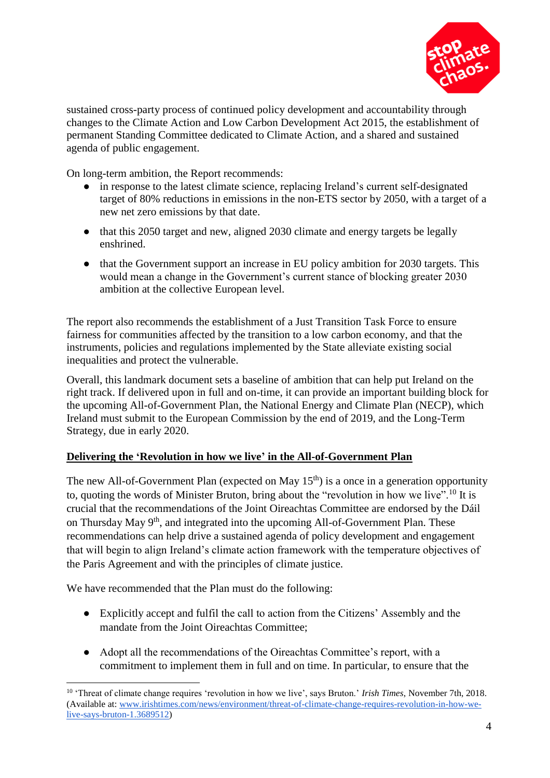

sustained cross-party process of continued policy development and accountability through changes to the Climate Action and Low Carbon Development Act 2015, the establishment of permanent Standing Committee dedicated to Climate Action, and a shared and sustained agenda of public engagement.

On long-term ambition, the Report recommends:

- in response to the latest climate science, replacing Ireland's current self-designated target of 80% reductions in emissions in the non-ETS sector by 2050, with a target of a new net zero emissions by that date.
- that this 2050 target and new, aligned 2030 climate and energy targets be legally enshrined.
- that the Government support an increase in EU policy ambition for 2030 targets. This would mean a change in the Government's current stance of blocking greater 2030 ambition at the collective European level.

The report also recommends the establishment of a Just Transition Task Force to ensure fairness for communities affected by the transition to a low carbon economy, and that the instruments, policies and regulations implemented by the State alleviate existing social inequalities and protect the vulnerable.

Overall, this landmark document sets a baseline of ambition that can help put Ireland on the right track. If delivered upon in full and on-time, it can provide an important building block for the upcoming All-of-Government Plan, the National Energy and Climate Plan (NECP), which Ireland must submit to the European Commission by the end of 2019, and the Long-Term Strategy, due in early 2020.

# **Delivering the 'Revolution in how we live' in the All-of-Government Plan**

The new All-of-Government Plan (expected on May  $15<sup>th</sup>$ ) is a once in a generation opportunity to, quoting the words of Minister Bruton, bring about the "revolution in how we live".<sup>10</sup> It is crucial that the recommendations of the Joint Oireachtas Committee are endorsed by the Dáil on Thursday May  $9<sup>th</sup>$ , and integrated into the upcoming All-of-Government Plan. These recommendations can help drive a sustained agenda of policy development and engagement that will begin to align Ireland's climate action framework with the temperature objectives of the Paris Agreement and with the principles of climate justice.

We have recommended that the Plan must do the following:

 $\overline{a}$ 

- Explicitly accept and fulfil the call to action from the Citizens' Assembly and the mandate from the Joint Oireachtas Committee;
- Adopt all the recommendations of the Oireachtas Committee's report, with a commitment to implement them in full and on time. In particular, to ensure that the

<sup>10</sup> 'Threat of climate change requires 'revolution in how we live', says Bruton.' *Irish Times*, November 7th, 2018. (Available at: [www.irishtimes.com/news/environment/threat-of-climate-change-requires-revolution-in-how-we](https://www.irishtimes.com/news/environment/threat-of-climate-change-requires-revolution-in-how-we-live-says-bruton-1.3689512)[live-says-bruton-1.3689512\)](https://www.irishtimes.com/news/environment/threat-of-climate-change-requires-revolution-in-how-we-live-says-bruton-1.3689512)